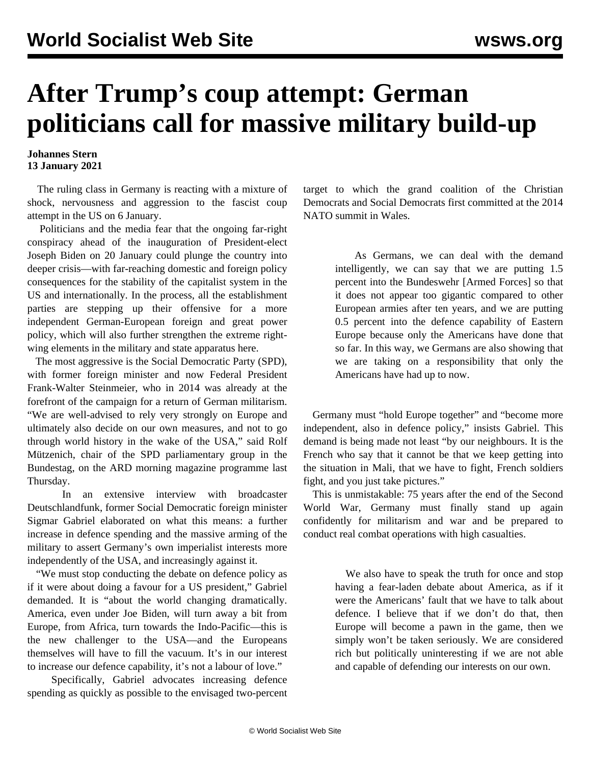## **After Trump's coup attempt: German politicians call for massive military build-up**

## **Johannes Stern 13 January 2021**

 The ruling class in Germany is reacting with a mixture of shock, nervousness and aggression to the fascist coup attempt in the US on 6 January.

 Politicians and the media fear that the ongoing far-right conspiracy ahead of the inauguration of President-elect Joseph Biden on 20 January could plunge the country into deeper crisis—with far-reaching domestic and foreign policy consequences for the stability of the capitalist system in the US and internationally. In the process, all the establishment parties are stepping up their offensive for a more independent German-European foreign and great power policy, which will also further strengthen the extreme rightwing elements in the military and state apparatus here.

 The most aggressive is the Social Democratic Party (SPD), with former foreign minister and now Federal President Frank-Walter Steinmeier, who in 2014 was already at the forefront of the campaign for a return of German militarism. "We are well-advised to rely very strongly on Europe and ultimately also decide on our own measures, and not to go through world history in the wake of the USA," said Rolf Mützenich, chair of the SPD parliamentary group in the Bundestag, on the ARD morning magazine programme last Thursday.

 In an extensive interview with broadcaster Deutschlandfunk, former Social Democratic foreign minister Sigmar Gabriel elaborated on what this means: a further increase in defence spending and the massive arming of the military to assert Germany's own imperialist interests more independently of the USA, and increasingly against it.

 "We must stop conducting the debate on defence policy as if it were about doing a favour for a US president," Gabriel demanded. It is "about the world changing dramatically. America, even under Joe Biden, will turn away a bit from Europe, from Africa, turn towards the Indo-Pacific—this is the new challenger to the USA—and the Europeans themselves will have to fill the vacuum. It's in our interest to increase our defence capability, it's not a labour of love."

 Specifically, Gabriel advocates increasing defence spending as quickly as possible to the envisaged two-percent target to which the grand coalition of the Christian Democrats and Social Democrats first committed at the 2014 NATO summit in Wales.

> As Germans, we can deal with the demand intelligently, we can say that we are putting 1.5 percent into the Bundeswehr [Armed Forces] so that it does not appear too gigantic compared to other European armies after ten years, and we are putting 0.5 percent into the defence capability of Eastern Europe because only the Americans have done that so far. In this way, we Germans are also showing that we are taking on a responsibility that only the Americans have had up to now.

 Germany must "hold Europe together" and "become more independent, also in defence policy," insists Gabriel. This demand is being made not least "by our neighbours. It is the French who say that it cannot be that we keep getting into the situation in Mali, that we have to fight, French soldiers fight, and you just take pictures."

 This is unmistakable: 75 years after the end of the Second World War, Germany must finally stand up again confidently for militarism and war and be prepared to conduct real combat operations with high casualties.

> We also have to speak the truth for once and stop having a fear-laden debate about America, as if it were the Americans' fault that we have to talk about defence. I believe that if we don't do that, then Europe will become a pawn in the game, then we simply won't be taken seriously. We are considered rich but politically uninteresting if we are not able and capable of defending our interests on our own.